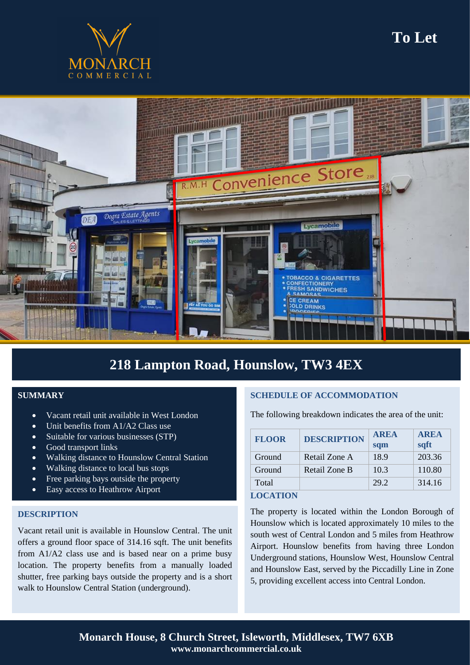



## **218 Lampton Road, Hounslow, TW3 4EX**

### **SUMMARY**

- Vacant retail unit available in West London
- Unit benefits from A1/A2 Class use
- Suitable for various businesses (STP)
- Good transport links
- Walking distance to Hounslow Central Station
- Walking distance to local bus stops
- Free parking bays outside the property
- Easy access to Heathrow Airport

#### **DESCRIPTION**

Vacant retail unit is available in Hounslow Central. The unit offers a ground floor space of 314.16 sqft. The unit benefits from A1/A2 class use and is based near on a prime busy location. The property benefits from a manually loaded shutter, free parking bays outside the property and is a short walk to Hounslow Central Station (underground).

#### **SCHEDULE OF ACCOMMODATION**

The following breakdown indicates the area of the unit:

| <b>FLOOR</b> | <b>DESCRIPTION</b> | <b>AREA</b><br>sqm | <b>AREA</b><br>sqft |
|--------------|--------------------|--------------------|---------------------|
| Ground       | Retail Zone A      | 18.9               | 203.36              |
| Ground       | Retail Zone B      | 10.3               | 110.80              |
| Total        |                    | 29.2               | 314.16              |

#### **LOCATION**

The property is located within the London Borough of Hounslow which is located approximately 10 miles to the south west of Central London and 5 miles from Heathrow Airport. Hounslow benefits from having three London Underground stations, Hounslow West, Hounslow Central and Hounslow East, served by the Piccadilly Line in Zone 5, providing excellent access into Central London.